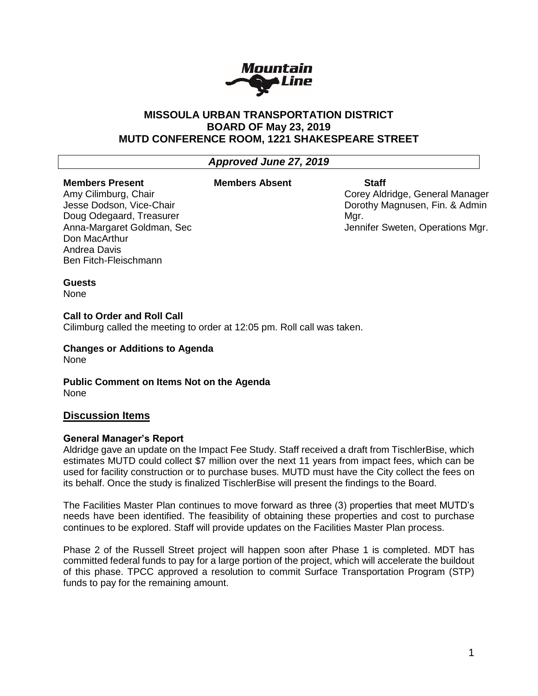

## **MISSOULA URBAN TRANSPORTATION DISTRICT BOARD OF May 23, 2019 MUTD CONFERENCE ROOM, 1221 SHAKESPEARE STREET**

# *Approved June 27, 2019*

#### **Members Present**

#### **Members Absent Staff**

Amy Cilimburg, Chair Jesse Dodson, Vice-Chair Doug Odegaard, Treasurer Anna-Margaret Goldman, Sec Don MacArthur Andrea Davis Ben Fitch-Fleischmann

Corey Aldridge, General Manager Dorothy Magnusen, Fin. & Admin Mgr. Jennifer Sweten, Operations Mgr.

#### **Guests**

None

#### **Call to Order and Roll Call**

Cilimburg called the meeting to order at 12:05 pm. Roll call was taken.

**Changes or Additions to Agenda** None

**Public Comment on Items Not on the Agenda** None

## **Discussion Items**

#### **General Manager's Report**

Aldridge gave an update on the Impact Fee Study. Staff received a draft from TischlerBise, which estimates MUTD could collect \$7 million over the next 11 years from impact fees, which can be used for facility construction or to purchase buses. MUTD must have the City collect the fees on its behalf. Once the study is finalized TischlerBise will present the findings to the Board.

The Facilities Master Plan continues to move forward as three (3) properties that meet MUTD's needs have been identified. The feasibility of obtaining these properties and cost to purchase continues to be explored. Staff will provide updates on the Facilities Master Plan process.

Phase 2 of the Russell Street project will happen soon after Phase 1 is completed. MDT has committed federal funds to pay for a large portion of the project, which will accelerate the buildout of this phase. TPCC approved a resolution to commit Surface Transportation Program (STP) funds to pay for the remaining amount.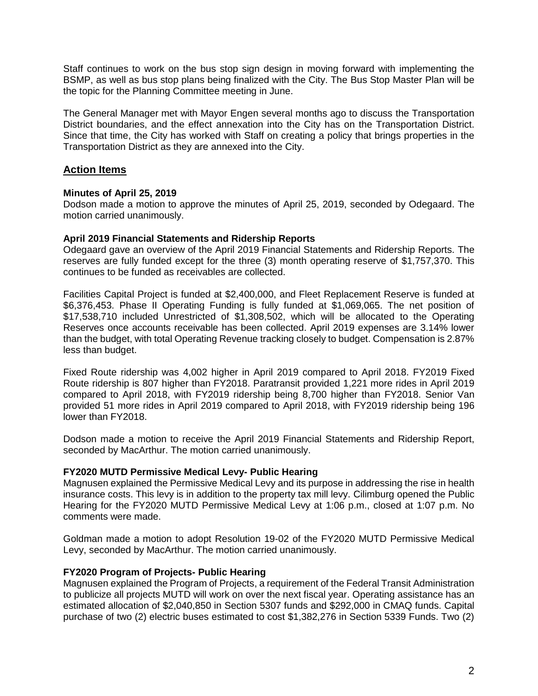Staff continues to work on the bus stop sign design in moving forward with implementing the BSMP, as well as bus stop plans being finalized with the City. The Bus Stop Master Plan will be the topic for the Planning Committee meeting in June.

The General Manager met with Mayor Engen several months ago to discuss the Transportation District boundaries, and the effect annexation into the City has on the Transportation District. Since that time, the City has worked with Staff on creating a policy that brings properties in the Transportation District as they are annexed into the City.

# **Action Items**

## **Minutes of April 25, 2019**

Dodson made a motion to approve the minutes of April 25, 2019, seconded by Odegaard. The motion carried unanimously.

## **April 2019 Financial Statements and Ridership Reports**

Odegaard gave an overview of the April 2019 Financial Statements and Ridership Reports. The reserves are fully funded except for the three (3) month operating reserve of \$1,757,370. This continues to be funded as receivables are collected.

Facilities Capital Project is funded at \$2,400,000, and Fleet Replacement Reserve is funded at \$6,376,453. Phase II Operating Funding is fully funded at \$1,069,065. The net position of \$17,538,710 included Unrestricted of \$1,308,502, which will be allocated to the Operating Reserves once accounts receivable has been collected. April 2019 expenses are 3.14% lower than the budget, with total Operating Revenue tracking closely to budget. Compensation is 2.87% less than budget.

Fixed Route ridership was 4,002 higher in April 2019 compared to April 2018. FY2019 Fixed Route ridership is 807 higher than FY2018. Paratransit provided 1,221 more rides in April 2019 compared to April 2018, with FY2019 ridership being 8,700 higher than FY2018. Senior Van provided 51 more rides in April 2019 compared to April 2018, with FY2019 ridership being 196 lower than FY2018.

Dodson made a motion to receive the April 2019 Financial Statements and Ridership Report, seconded by MacArthur. The motion carried unanimously.

## **FY2020 MUTD Permissive Medical Levy- Public Hearing**

Magnusen explained the Permissive Medical Levy and its purpose in addressing the rise in health insurance costs. This levy is in addition to the property tax mill levy. Cilimburg opened the Public Hearing for the FY2020 MUTD Permissive Medical Levy at 1:06 p.m., closed at 1:07 p.m. No comments were made.

Goldman made a motion to adopt Resolution 19-02 of the FY2020 MUTD Permissive Medical Levy, seconded by MacArthur. The motion carried unanimously.

## **FY2020 Program of Projects- Public Hearing**

Magnusen explained the Program of Projects, a requirement of the Federal Transit Administration to publicize all projects MUTD will work on over the next fiscal year. Operating assistance has an estimated allocation of \$2,040,850 in Section 5307 funds and \$292,000 in CMAQ funds. Capital purchase of two (2) electric buses estimated to cost \$1,382,276 in Section 5339 Funds. Two (2)